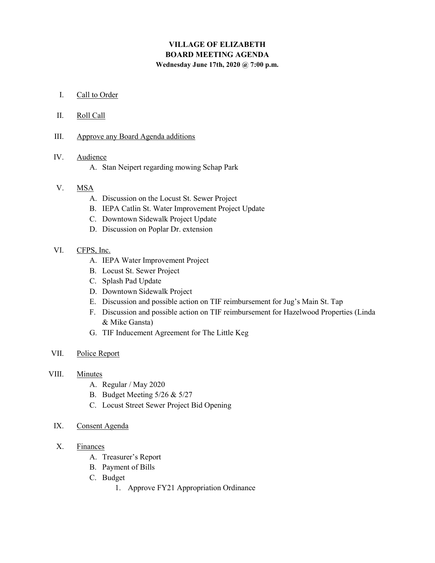# VILLAGE OF ELIZABETH BOARD MEETING AGENDA Wednesday June 17th, 2020 @ 7:00 p.m.

#### I. Call to Order

- II. Roll Call
- III. Approve any Board Agenda additions

## IV. Audience

A. Stan Neipert regarding mowing Schap Park

## V. MSA

- A. Discussion on the Locust St. Sewer Project
- B. IEPA Catlin St. Water Improvement Project Update
- C. Downtown Sidewalk Project Update
- D. Discussion on Poplar Dr. extension

#### VI. CFPS, Inc.

- A. IEPA Water Improvement Project
- B. Locust St. Sewer Project
- C. Splash Pad Update
- D. Downtown Sidewalk Project
- E. Discussion and possible action on TIF reimbursement for Jug's Main St. Tap
- F. Discussion and possible action on TIF reimbursement for Hazelwood Properties (Linda & Mike Gansta)
- G. TIF Inducement Agreement for The Little Keg
- VII. Police Report
- VIII. Minutes
	- A. Regular / May 2020
	- B. Budget Meeting 5/26 & 5/27
	- C. Locust Street Sewer Project Bid Opening
	- IX. Consent Agenda
	- X. Finances
		- A. Treasurer's Report
		- B. Payment of Bills
		- C. Budget
			- 1. Approve FY21 Appropriation Ordinance